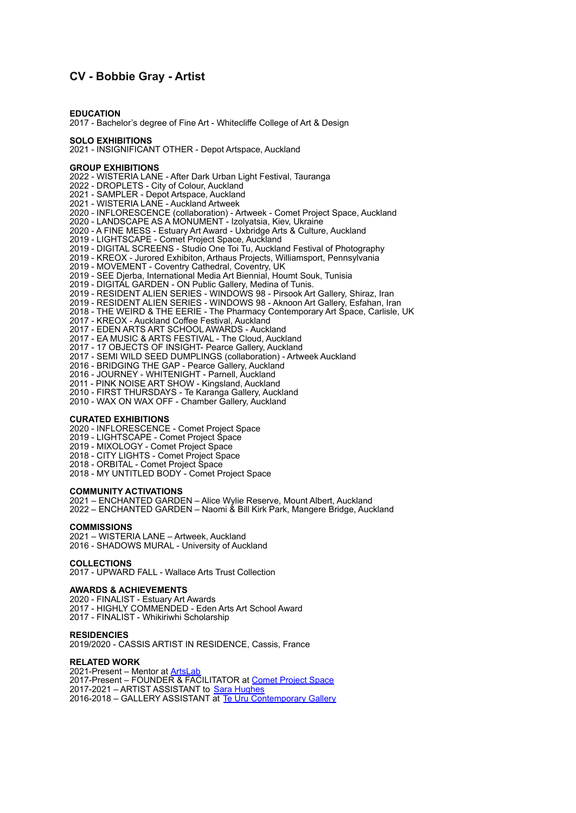# **CV - Bobbie Gray - Artist**

**EDUCATION** 2017 - Bachelor's degree of Fine Art - Whitecliffe College of Art & Design

## **SOLO EXHIBITIONS**

2021 - INSIGNIFICANT OTHER - Depot Artspace, Auckland

### **GROUP EXHIBITIONS**

2022 - WISTERIA LANE - After Dark Urban Light Festival, Tauranga 2022 - DROPLETS - City of Colour, Auckland 2021 - SAMPLER - Depot Artspace, Auckland 2021 - WISTERIA LANE - Auckland Artweek 2020 - INFLORESCENCE (collaboration) - Artweek - Comet Project Space, Auckland 2020 - LANDSCAPE AS A MONUMENT - Izolyatsia, Kiev, Ukraine 2020 - A FINE MESS - Estuary Art Award - Uxbridge Arts & Culture, Auckland 2019 - LIGHTSCAPE - Comet Project Space, Auckland 2019 - DIGITAL SCREENS - Studio One Toi Tu, Auckland Festival of Photography 2019 - KREOX - Jurored Exhibiton, Arthaus Projects, Williamsport, Pennsylvania 2019 - MOVEMENT - Coventry Cathedral, Coventry, UK 2019 - SEE Djerba, International Media Art Biennial, Houmt Souk, Tunisia 2019 - DIGITAL GARDEN - ON Public Gallery, Medina of Tunis. 2019 - RESIDENT ALIEN SERIES - WINDOWS 98 - Pirsook Art Gallery, Shiraz, Iran 2019 - RESIDENT ALIEN SERIES - WINDOWS 98 - Aknoon Art Gallery, Esfahan, Iran 2018 - THE WEIRD & THE EERIE - The Pharmacy Contemporary Art Space, Carlisle, UK 2017 - KREOX - Auckland Coffee Festival, Auckland 2017 - EDEN ARTS ART SCHOOL AWARDS - Auckland 2017 - EA MUSIC & ARTS FESTIVAL - The Cloud, Auckland 2017 - 17 OBJECTS OF INSIGHT- Pearce Gallery, Auckland 2017 - SEMI WILD SEED DUMPLINGS (collaboration) - Artweek Auckland 2016 - BRIDGING THE GAP - Pearce Gallery, Auckland 2016 - JOURNEY - WHITENIGHT - Parnell, Auckland 2011 - PINK NOISE ART SHOW - Kingsland, Auckland 2010 - FIRST THURSDAYS - Te Karanga Gallery, Auckland

2010 - WAX ON WAX OFF - Chamber Gallery, Auckland

#### **CURATED EXHIBITIONS**

2020 - INFLORESCENCE - Comet Project Space

2019 - LIGHTSCAPE - Comet Project Space

2019 - MIXOLOGY - Comet Project Space

2018 - CITY LIGHTS - Comet Project Space

2018 - ORBITAL - Comet Project Space

2018 - MY UNTITLED BODY - Comet Project Space

## **COMMUNITY ACTIVATIONS**

2021 – ENCHANTED GARDEN – Alice Wylie Reserve, Mount Albert, Auckland 2022 – ENCHANTED GARDEN – Naomi & Bill Kirk Park, Mangere Bridge, Auckland

#### **COMMISSIONS**

2021 – WISTERIA LANE – Artweek, Auckland 2016 - SHADOWS MURAL - University of Auckland

## **COLLECTIONS**

2017 - UPWARD FALL - Wallace Arts Trust Collection

### **AWARDS & ACHIEVEMENTS**

2020 - FINALIST - Estuary Art Awards 2017 - HIGHLY COMMENDED - Eden Arts Art School Award 2017 - FINALIST - Whikiriwhi Scholarship

#### **RESIDENCIES**

2019/2020 - CASSIS ARTIST IN RESIDENCE, Cassis, France

## **RELATED WORK**

2021-Present – Mentor at [ArtsLab](https://www.depotartspace.co.nz/artslab/) 2017-Present – FOUNDER & FACILITATOR at [Comet Project](https://www.cometprojectspace.nz/) Space 2017-2021 – ARTIST ASSISTANT to [Sara Hughes](http://www.sarahughes.co.nz/) 2016-2018 – GALLERY ASSISTANT at [Te Uru Contemporary](https://www.teuru.org.nz/) Gallery